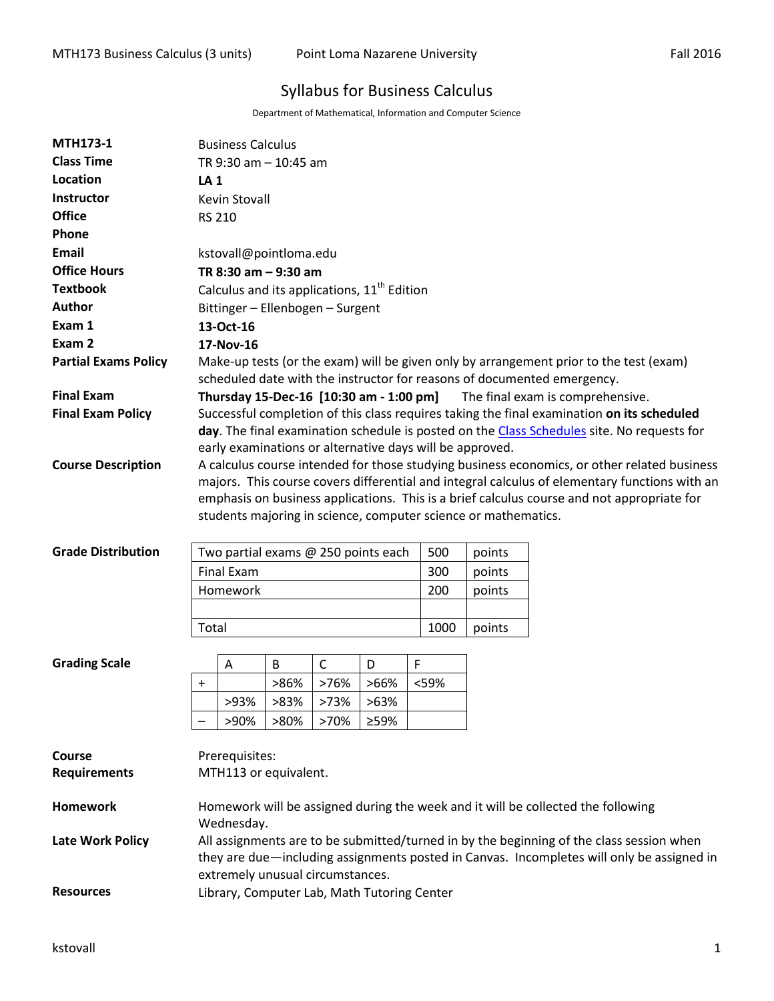# Syllabus for Business Calculus

Department of Mathematical, Information and Computer Science

| <b>MTH173-1</b>             | <b>Business Calculus</b>                                                                                                                                     |                |      |              |                                             |      |        |        |  |  |  |  |
|-----------------------------|--------------------------------------------------------------------------------------------------------------------------------------------------------------|----------------|------|--------------|---------------------------------------------|------|--------|--------|--|--|--|--|
| <b>Class Time</b>           | TR 9:30 am - 10:45 am                                                                                                                                        |                |      |              |                                             |      |        |        |  |  |  |  |
| Location                    | <b>LA1</b>                                                                                                                                                   |                |      |              |                                             |      |        |        |  |  |  |  |
| Instructor                  | Kevin Stovall                                                                                                                                                |                |      |              |                                             |      |        |        |  |  |  |  |
| <b>Office</b>               | <b>RS 210</b>                                                                                                                                                |                |      |              |                                             |      |        |        |  |  |  |  |
| Phone                       |                                                                                                                                                              |                |      |              |                                             |      |        |        |  |  |  |  |
| Email                       | kstovall@pointloma.edu                                                                                                                                       |                |      |              |                                             |      |        |        |  |  |  |  |
| <b>Office Hours</b>         | TR 8:30 am - 9:30 am                                                                                                                                         |                |      |              |                                             |      |        |        |  |  |  |  |
| <b>Textbook</b>             | Calculus and its applications, 11 <sup>th</sup> Edition                                                                                                      |                |      |              |                                             |      |        |        |  |  |  |  |
| Author                      | Bittinger - Ellenbogen - Surgent                                                                                                                             |                |      |              |                                             |      |        |        |  |  |  |  |
| Exam 1                      | 13-Oct-16                                                                                                                                                    |                |      |              |                                             |      |        |        |  |  |  |  |
| Exam 2                      | 17-Nov-16                                                                                                                                                    |                |      |              |                                             |      |        |        |  |  |  |  |
| <b>Partial Exams Policy</b> | Make-up tests (or the exam) will be given only by arrangement prior to the test (exam)                                                                       |                |      |              |                                             |      |        |        |  |  |  |  |
|                             | scheduled date with the instructor for reasons of documented emergency.                                                                                      |                |      |              |                                             |      |        |        |  |  |  |  |
| <b>Final Exam</b>           | Thursday 15-Dec-16 [10:30 am - 1:00 pm]<br>The final exam is comprehensive.                                                                                  |                |      |              |                                             |      |        |        |  |  |  |  |
| <b>Final Exam Policy</b>    | Successful completion of this class requires taking the final examination on its scheduled                                                                   |                |      |              |                                             |      |        |        |  |  |  |  |
|                             | day. The final examination schedule is posted on the Class Schedules site. No requests for                                                                   |                |      |              |                                             |      |        |        |  |  |  |  |
|                             | early examinations or alternative days will be approved.                                                                                                     |                |      |              |                                             |      |        |        |  |  |  |  |
| <b>Course Description</b>   | A calculus course intended for those studying business economics, or other related business                                                                  |                |      |              |                                             |      |        |        |  |  |  |  |
|                             | majors. This course covers differential and integral calculus of elementary functions with an                                                                |                |      |              |                                             |      |        |        |  |  |  |  |
|                             | emphasis on business applications. This is a brief calculus course and not appropriate for<br>students majoring in science, computer science or mathematics. |                |      |              |                                             |      |        |        |  |  |  |  |
|                             |                                                                                                                                                              |                |      |              |                                             |      |        |        |  |  |  |  |
| <b>Grade Distribution</b>   | 500<br>Two partial exams @ 250 points each<br>points                                                                                                         |                |      |              |                                             |      |        |        |  |  |  |  |
|                             | <b>Final Exam</b>                                                                                                                                            |                |      |              |                                             | 300  |        | points |  |  |  |  |
|                             | 200<br>Homework                                                                                                                                              |                |      |              |                                             |      |        | points |  |  |  |  |
|                             |                                                                                                                                                              |                |      |              |                                             |      |        |        |  |  |  |  |
|                             | Total<br>1000                                                                                                                                                |                |      |              |                                             |      | points |        |  |  |  |  |
|                             |                                                                                                                                                              |                |      |              |                                             |      |        |        |  |  |  |  |
| <b>Grading Scale</b>        |                                                                                                                                                              | Α              | B    | $\mathsf{C}$ | D                                           | F    |        |        |  |  |  |  |
|                             | $\ddot{}$                                                                                                                                                    |                | >86% | >76%         | >66%                                        | <59% |        |        |  |  |  |  |
|                             |                                                                                                                                                              | >93%           | >83% | >73%         | >63%                                        |      |        |        |  |  |  |  |
|                             |                                                                                                                                                              | >90%           | >80% | >70%         | ≥59%                                        |      |        |        |  |  |  |  |
|                             |                                                                                                                                                              |                |      |              |                                             |      |        |        |  |  |  |  |
| Course                      |                                                                                                                                                              | Prerequisites: |      |              |                                             |      |        |        |  |  |  |  |
| <b>Requirements</b>         | MTH113 or equivalent.                                                                                                                                        |                |      |              |                                             |      |        |        |  |  |  |  |
|                             |                                                                                                                                                              |                |      |              |                                             |      |        |        |  |  |  |  |
| <b>Homework</b>             | Homework will be assigned during the week and it will be collected the following                                                                             |                |      |              |                                             |      |        |        |  |  |  |  |
|                             | Wednesday.                                                                                                                                                   |                |      |              |                                             |      |        |        |  |  |  |  |
| <b>Late Work Policy</b>     | All assignments are to be submitted/turned in by the beginning of the class session when                                                                     |                |      |              |                                             |      |        |        |  |  |  |  |
|                             | they are due—including assignments posted in Canvas. Incompletes will only be assigned in<br>extremely unusual circumstances.                                |                |      |              |                                             |      |        |        |  |  |  |  |
|                             |                                                                                                                                                              |                |      |              |                                             |      |        |        |  |  |  |  |
| <b>Resources</b>            |                                                                                                                                                              |                |      |              | Library, Computer Lab, Math Tutoring Center |      |        |        |  |  |  |  |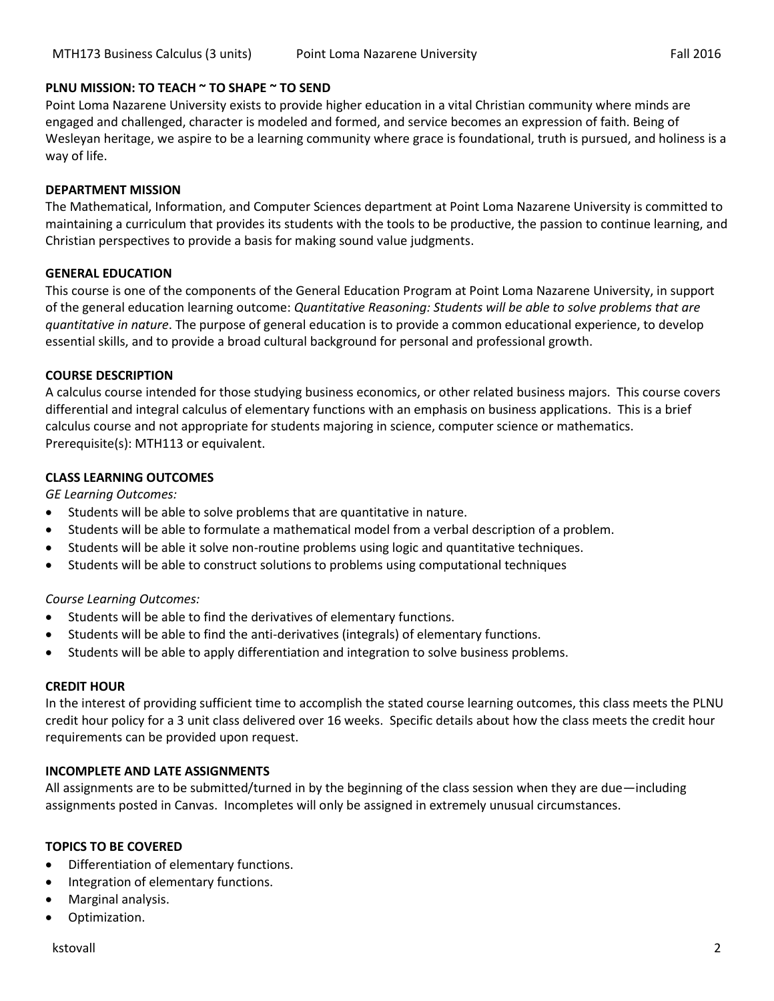# **PLNU MISSION: TO TEACH ~ TO SHAPE ~ TO SEND**

Point Loma Nazarene University exists to provide higher education in a vital Christian community where minds are engaged and challenged, character is modeled and formed, and service becomes an expression of faith. Being of Wesleyan heritage, we aspire to be a learning community where grace is foundational, truth is pursued, and holiness is a way of life.

#### **DEPARTMENT MISSION**

The Mathematical, Information, and Computer Sciences department at Point Loma Nazarene University is committed to maintaining a curriculum that provides its students with the tools to be productive, the passion to continue learning, and Christian perspectives to provide a basis for making sound value judgments.

#### **GENERAL EDUCATION**

This course is one of the components of the General Education Program at Point Loma Nazarene University, in support of the general education learning outcome: *Quantitative Reasoning: Students will be able to solve problems that are quantitative in nature*. The purpose of general education is to provide a common educational experience, to develop essential skills, and to provide a broad cultural background for personal and professional growth.

#### **COURSE DESCRIPTION**

A calculus course intended for those studying business economics, or other related business majors. This course covers differential and integral calculus of elementary functions with an emphasis on business applications. This is a brief calculus course and not appropriate for students majoring in science, computer science or mathematics. Prerequisite(s): MTH113 or equivalent.

# **CLASS LEARNING OUTCOMES**

*GE Learning Outcomes:* 

- Students will be able to solve problems that are quantitative in nature.
- Students will be able to formulate a mathematical model from a verbal description of a problem.
- Students will be able it solve non-routine problems using logic and quantitative techniques.
- Students will be able to construct solutions to problems using computational techniques

# *Course Learning Outcomes:*

- Students will be able to find the derivatives of elementary functions.
- Students will be able to find the anti-derivatives (integrals) of elementary functions.
- Students will be able to apply differentiation and integration to solve business problems.

#### **CREDIT HOUR**

In the interest of providing sufficient time to accomplish the stated course learning outcomes, this class meets the PLNU credit hour policy for a 3 unit class delivered over 16 weeks. Specific details about how the class meets the credit hour requirements can be provided upon request.

# **INCOMPLETE AND LATE ASSIGNMENTS**

All assignments are to be submitted/turned in by the beginning of the class session when they are due—including assignments posted in Canvas. Incompletes will only be assigned in extremely unusual circumstances.

# **TOPICS TO BE COVERED**

- Differentiation of elementary functions.
- Integration of elementary functions.
- Marginal analysis.
- Optimization.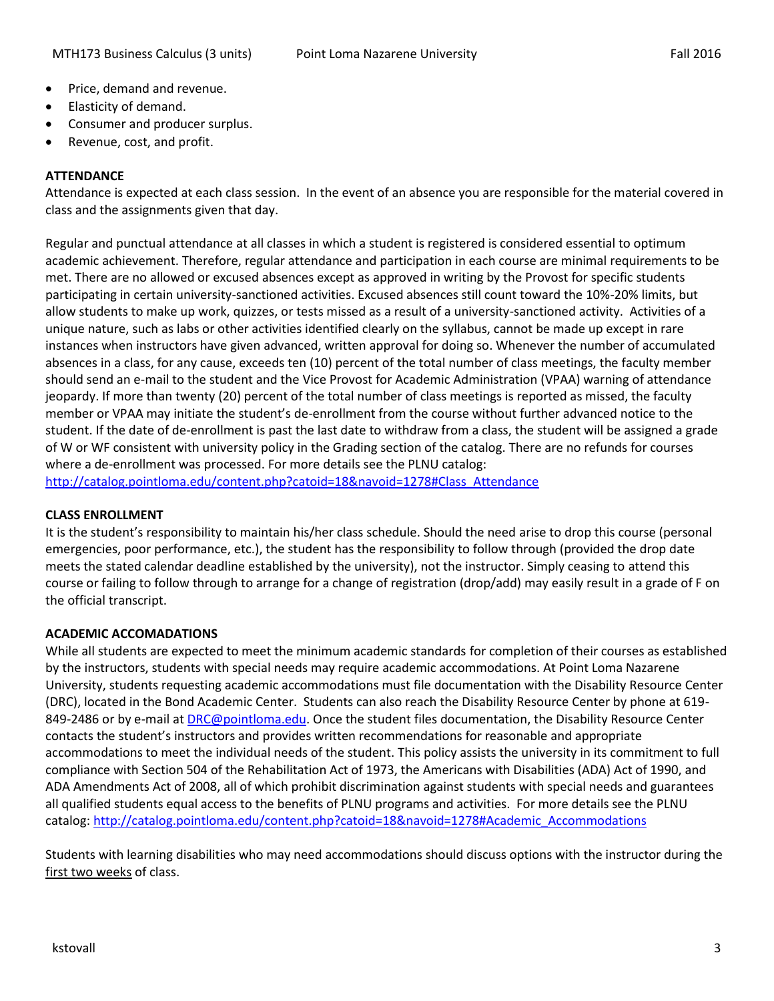- Price, demand and revenue.
- Elasticity of demand.
- Consumer and producer surplus.
- Revenue, cost, and profit.

# **ATTENDANCE**

Attendance is expected at each class session. In the event of an absence you are responsible for the material covered in class and the assignments given that day.

Regular and punctual attendance at all classes in which a student is registered is considered essential to optimum academic achievement. Therefore, regular attendance and participation in each course are minimal requirements to be met. There are no allowed or excused absences except as approved in writing by the Provost for specific students participating in certain university-sanctioned activities. Excused absences still count toward the 10%-20% limits, but allow students to make up work, quizzes, or tests missed as a result of a university-sanctioned activity. Activities of a unique nature, such as labs or other activities identified clearly on the syllabus, cannot be made up except in rare instances when instructors have given advanced, written approval for doing so. Whenever the number of accumulated absences in a class, for any cause, exceeds ten (10) percent of the total number of class meetings, the faculty member should send an e-mail to the student and the Vice Provost for Academic Administration (VPAA) warning of attendance jeopardy. If more than twenty (20) percent of the total number of class meetings is reported as missed, the faculty member or VPAA may initiate the student's de-enrollment from the course without further advanced notice to the student. If the date of de-enrollment is past the last date to withdraw from a class, the student will be assigned a grade of W or WF consistent with university policy in the Grading section of the catalog. There are no refunds for courses where a de-enrollment was processed. For more details see the PLNU catalog: [http://catalog.pointloma.edu/content.php?catoid=18&navoid=1278#Class\\_Attendance](http://catalog.pointloma.edu/content.php?catoid=18&navoid=1278#Class_Attendance)

# **CLASS ENROLLMENT**

It is the student's responsibility to maintain his/her class schedule. Should the need arise to drop this course (personal emergencies, poor performance, etc.), the student has the responsibility to follow through (provided the drop date meets the stated calendar deadline established by the university), not the instructor. Simply ceasing to attend this course or failing to follow through to arrange for a change of registration (drop/add) may easily result in a grade of F on the official transcript.

# **ACADEMIC ACCOMADATIONS**

While all students are expected to meet the minimum academic standards for completion of their courses as established by the instructors, students with special needs may require academic accommodations. At Point Loma Nazarene University, students requesting academic accommodations must file documentation with the Disability Resource Center (DRC), located in the Bond Academic Center. Students can also reach the Disability Resource Center by phone at 619- 849-2486 or by e-mail at [DRC@pointloma.edu.](mailto:DRC@pointloma.edu) Once the student files documentation, the Disability Resource Center contacts the student's instructors and provides written recommendations for reasonable and appropriate accommodations to meet the individual needs of the student. This policy assists the university in its commitment to full compliance with Section 504 of the Rehabilitation Act of 1973, the Americans with Disabilities (ADA) Act of 1990, and ADA Amendments Act of 2008, all of which prohibit discrimination against students with special needs and guarantees all qualified students equal access to the benefits of PLNU programs and activities. For more details see the PLNU catalog: [http://catalog.pointloma.edu/content.php?catoid=18&navoid=1278#Academic\\_Accommodations](http://catalog.pointloma.edu/content.php?catoid=18&navoid=1278#Academic_Accommodations) 

Students with learning disabilities who may need accommodations should discuss options with the instructor during the first two weeks of class.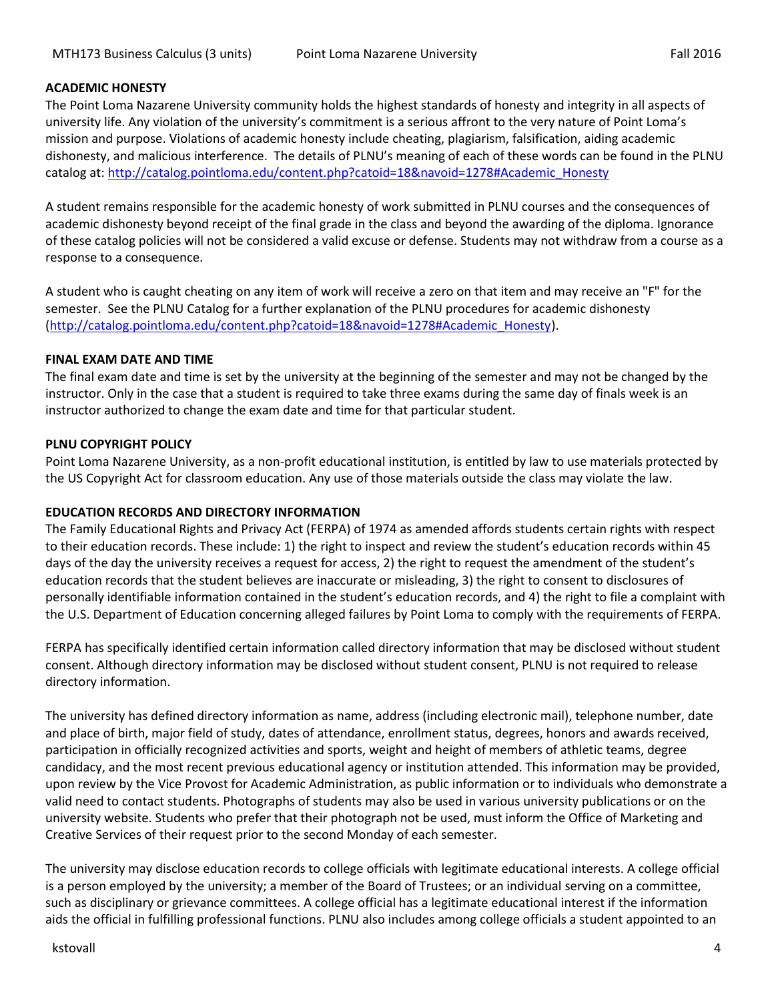# **ACADEMIC HONESTY**

The Point Loma Nazarene University community holds the highest standards of honesty and integrity in all aspects of university life. Any violation of the university's commitment is a serious affront to the very nature of Point Loma's mission and purpose. Violations of academic honesty include cheating, plagiarism, falsification, aiding academic dishonesty, and malicious interference. The details of PLNU's meaning of each of these words can be found in the PLNU catalog at: [http://catalog.pointloma.edu/content.php?catoid=18&navoid=1278#Academic\\_Honesty](http://catalog.pointloma.edu/content.php?catoid=18&navoid=1278#Academic_Honesty)

A student remains responsible for the academic honesty of work submitted in PLNU courses and the consequences of academic dishonesty beyond receipt of the final grade in the class and beyond the awarding of the diploma. Ignorance of these catalog policies will not be considered a valid excuse or defense. Students may not withdraw from a course as a response to a consequence.

A student who is caught cheating on any item of work will receive a zero on that item and may receive an "F" for the semester. See the PLNU Catalog for a further explanation of the PLNU procedures for academic dishonesty [\(http://catalog.pointloma.edu/content.php?catoid=18&navoid=1278#Academic\\_Honesty\)](http://catalog.pointloma.edu/content.php?catoid=18&navoid=1278#Academic_Honesty).

#### **FINAL EXAM DATE AND TIME**

The final exam date and time is set by the university at the beginning of the semester and may not be changed by the instructor. Only in the case that a student is required to take three exams during the same day of finals week is an instructor authorized to change the exam date and time for that particular student.

# **PLNU COPYRIGHT POLICY**

Point Loma Nazarene University, as a non-profit educational institution, is entitled by law to use materials protected by the US Copyright Act for classroom education. Any use of those materials outside the class may violate the law.

# **EDUCATION RECORDS AND DIRECTORY INFORMATION**

The Family Educational Rights and Privacy Act (FERPA) of 1974 as amended affords students certain rights with respect to their education records. These include: 1) the right to inspect and review the student's education records within 45 days of the day the university receives a request for access, 2) the right to request the amendment of the student's education records that the student believes are inaccurate or misleading, 3) the right to consent to disclosures of personally identifiable information contained in the student's education records, and 4) the right to file a complaint with the U.S. Department of Education concerning alleged failures by Point Loma to comply with the requirements of FERPA.

FERPA has specifically identified certain information called directory information that may be disclosed without student consent. Although directory information may be disclosed without student consent, PLNU is not required to release directory information.

The university has defined directory information as name, address (including electronic mail), telephone number, date and place of birth, major field of study, dates of attendance, enrollment status, degrees, honors and awards received, participation in officially recognized activities and sports, weight and height of members of athletic teams, degree candidacy, and the most recent previous educational agency or institution attended. This information may be provided, upon review by the Vice Provost for Academic Administration, as public information or to individuals who demonstrate a valid need to contact students. Photographs of students may also be used in various university publications or on the university website. Students who prefer that their photograph not be used, must inform the Office of Marketing and Creative Services of their request prior to the second Monday of each semester.

The university may disclose education records to college officials with legitimate educational interests. A college official is a person employed by the university; a member of the Board of Trustees; or an individual serving on a committee, such as disciplinary or grievance committees. A college official has a legitimate educational interest if the information aids the official in fulfilling professional functions. PLNU also includes among college officials a student appointed to an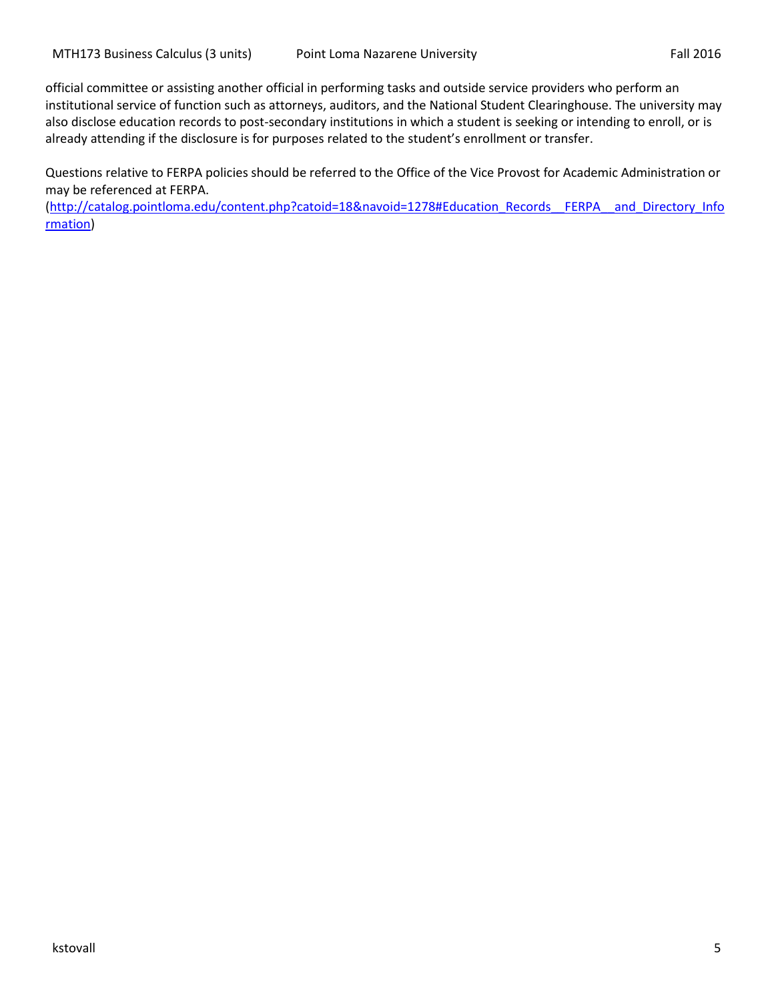official committee or assisting another official in performing tasks and outside service providers who perform an institutional service of function such as attorneys, auditors, and the National Student Clearinghouse. The university may also disclose education records to post-secondary institutions in which a student is seeking or intending to enroll, or is already attending if the disclosure is for purposes related to the student's enrollment or transfer.

Questions relative to FERPA policies should be referred to the Office of the Vice Provost for Academic Administration or may be referenced at FERPA.

[\(http://catalog.pointloma.edu/content.php?catoid=18&navoid=1278#Education\\_Records\\_\\_FERPA\\_\\_and\\_Directory\\_Info](http://catalog.pointloma.edu/content.php?catoid=18&navoid=1278#Education_Records__FERPA__and_Directory_Information) [rmation\)](http://catalog.pointloma.edu/content.php?catoid=18&navoid=1278#Education_Records__FERPA__and_Directory_Information)